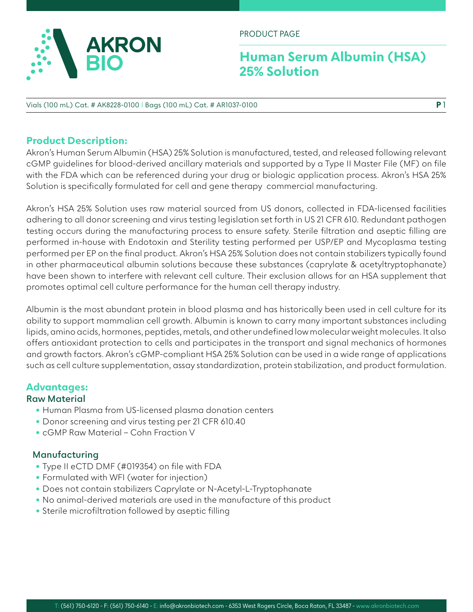

PRODUCT PAGE

## **Human Serum Albumin (HSA) 25% Solution**

#### Vials (100 mL) Cat. # AK8228-0100 I Bags (100 mL) Cat. # AR1037-0100

### **Product Description:**

Akron's Human Serum Albumin (HSA) 25% Solution is manufactured, tested, and released following relevant cGMP guidelines for blood-derived ancillary materials and supported by a Type II Master File (MF) on file with the FDA which can be referenced during your drug or biologic application process. Akron's HSA 25% Solution is specifically formulated for cell and gene therapy commercial manufacturing.

Akron's HSA 25% Solution uses raw material sourced from US donors, collected in FDA-licensed facilities adhering to all donor screening and virus testing legislation set forth in US 21 CFR 610. Redundant pathogen testing occurs during the manufacturing process to ensure safety. Sterile filtration and aseptic filling are performed in-house with Endotoxin and Sterility testing performed per USP/EP and Mycoplasma testing performed per EP on the final product. Akron's HSA 25% Solution does not contain stabilizers typically found in other pharmaceutical albumin solutions because these substances (caprylate & acetyltryptophanate) have been shown to interfere with relevant cell culture. Their exclusion allows for an HSA supplement that promotes optimal cell culture performance for the human cell therapy industry.

Albumin is the most abundant protein in blood plasma and has historically been used in cell culture for its ability to support mammalian cell growth. Albumin is known to carry many important substances including lipids, amino acids, hormones, peptides, metals, and other undefined low molecular weight molecules. It also offers antioxidant protection to cells and participates in the transport and signal mechanics of hormones and growth factors. Akron's cGMP-compliant HSA 25% Solution can be used in a wide range of applications such as cell culture supplementation, assay standardization, protein stabilization, and product formulation.

### **Advantages:**

### **Raw Material**

- Human Plasma from US-licensed plasma donation centers
- Donor screening and virus testing per 21 CFR 610.40
- cGMP Raw Material Cohn Fraction V

### **Manufacturing**

- Type II eCTD DMF (#019354) on file with FDA
- Formulated with WFI (water for injection)
- Does not contain stabilizers Caprylate or N-Acetyl-L-Tryptophanate
- No animal-derived materials are used in the manufacture of this product
- Sterile microfiltration followed by aseptic filling

**P** 1